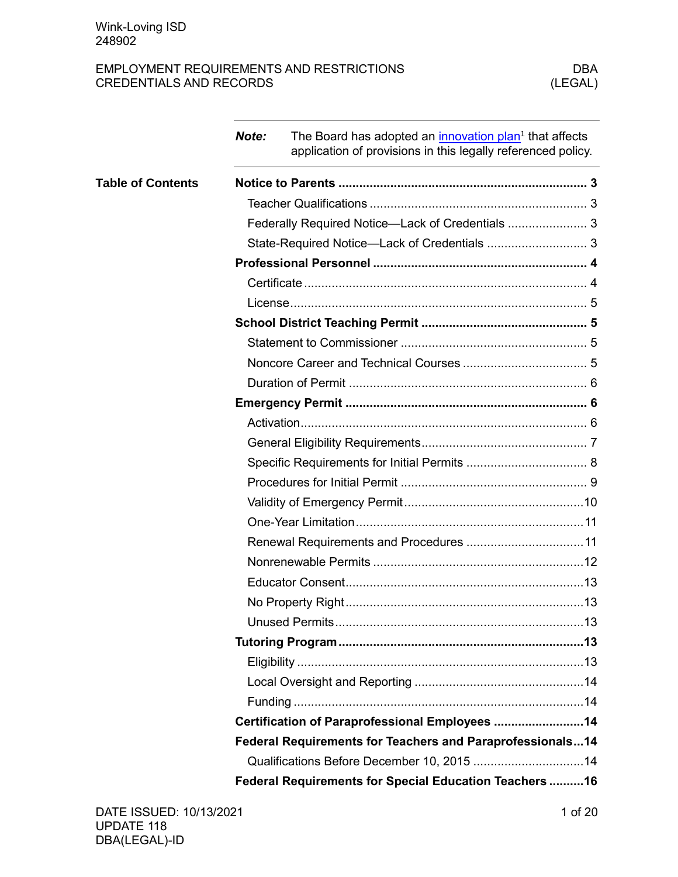|                          | Note: | The Board has adopted an innovation plan <sup>1</sup> that affects<br>application of provisions in this legally referenced policy. |  |
|--------------------------|-------|------------------------------------------------------------------------------------------------------------------------------------|--|
| <b>Table of Contents</b> |       |                                                                                                                                    |  |
|                          |       |                                                                                                                                    |  |
|                          |       |                                                                                                                                    |  |
|                          |       |                                                                                                                                    |  |
|                          |       |                                                                                                                                    |  |
|                          |       |                                                                                                                                    |  |
|                          |       |                                                                                                                                    |  |
|                          |       |                                                                                                                                    |  |
|                          |       |                                                                                                                                    |  |
|                          |       |                                                                                                                                    |  |
|                          |       |                                                                                                                                    |  |
|                          |       |                                                                                                                                    |  |
|                          |       |                                                                                                                                    |  |
|                          |       |                                                                                                                                    |  |
|                          |       |                                                                                                                                    |  |
|                          |       |                                                                                                                                    |  |
|                          |       |                                                                                                                                    |  |
|                          |       |                                                                                                                                    |  |
|                          |       |                                                                                                                                    |  |
|                          |       |                                                                                                                                    |  |
|                          |       |                                                                                                                                    |  |
|                          |       |                                                                                                                                    |  |
|                          |       |                                                                                                                                    |  |
|                          |       |                                                                                                                                    |  |
|                          |       |                                                                                                                                    |  |
|                          |       |                                                                                                                                    |  |
|                          |       |                                                                                                                                    |  |
|                          |       | Certification of Paraprofessional Employees  14                                                                                    |  |
|                          |       | Federal Requirements for Teachers and Paraprofessionals14                                                                          |  |
|                          |       |                                                                                                                                    |  |
|                          |       | Federal Requirements for Special Education Teachers 16                                                                             |  |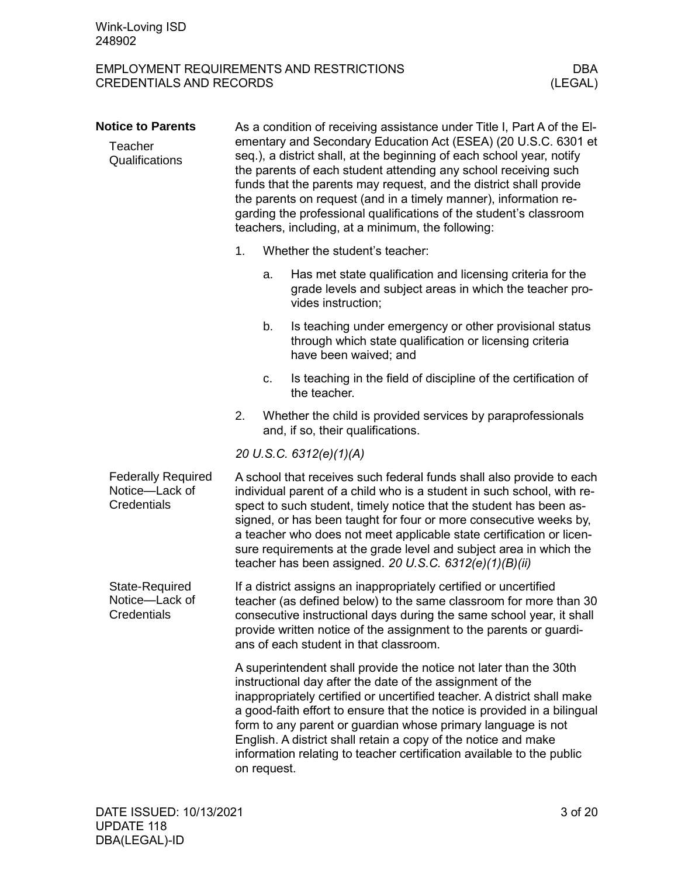<span id="page-2-3"></span><span id="page-2-2"></span><span id="page-2-1"></span><span id="page-2-0"></span>

| <b>Notice to Parents</b><br>Teacher<br>Qualifications      | As a condition of receiving assistance under Title I, Part A of the EI-<br>ementary and Secondary Education Act (ESEA) (20 U.S.C. 6301 et<br>seq.), a district shall, at the beginning of each school year, notify<br>the parents of each student attending any school receiving such<br>funds that the parents may request, and the district shall provide<br>the parents on request (and in a timely manner), information re-<br>garding the professional qualifications of the student's classroom<br>teachers, including, at a minimum, the following: |                                                                                                                                                                                                                                                                                                                                                                                                                                                                                                     |  |  |
|------------------------------------------------------------|------------------------------------------------------------------------------------------------------------------------------------------------------------------------------------------------------------------------------------------------------------------------------------------------------------------------------------------------------------------------------------------------------------------------------------------------------------------------------------------------------------------------------------------------------------|-----------------------------------------------------------------------------------------------------------------------------------------------------------------------------------------------------------------------------------------------------------------------------------------------------------------------------------------------------------------------------------------------------------------------------------------------------------------------------------------------------|--|--|
|                                                            | 1.<br>Whether the student's teacher:                                                                                                                                                                                                                                                                                                                                                                                                                                                                                                                       |                                                                                                                                                                                                                                                                                                                                                                                                                                                                                                     |  |  |
|                                                            | a.<br>vides instruction;                                                                                                                                                                                                                                                                                                                                                                                                                                                                                                                                   | Has met state qualification and licensing criteria for the<br>grade levels and subject areas in which the teacher pro-                                                                                                                                                                                                                                                                                                                                                                              |  |  |
|                                                            | b.<br>have been waived; and                                                                                                                                                                                                                                                                                                                                                                                                                                                                                                                                | Is teaching under emergency or other provisional status<br>through which state qualification or licensing criteria                                                                                                                                                                                                                                                                                                                                                                                  |  |  |
|                                                            | c.<br>the teacher.                                                                                                                                                                                                                                                                                                                                                                                                                                                                                                                                         | Is teaching in the field of discipline of the certification of                                                                                                                                                                                                                                                                                                                                                                                                                                      |  |  |
|                                                            | 2.<br>and, if so, their qualifications.                                                                                                                                                                                                                                                                                                                                                                                                                                                                                                                    | Whether the child is provided services by paraprofessionals                                                                                                                                                                                                                                                                                                                                                                                                                                         |  |  |
|                                                            | 20 U.S.C. 6312(e)(1)(A)                                                                                                                                                                                                                                                                                                                                                                                                                                                                                                                                    |                                                                                                                                                                                                                                                                                                                                                                                                                                                                                                     |  |  |
| <b>Federally Required</b><br>Notice-Lack of<br>Credentials |                                                                                                                                                                                                                                                                                                                                                                                                                                                                                                                                                            | A school that receives such federal funds shall also provide to each<br>individual parent of a child who is a student in such school, with re-<br>spect to such student, timely notice that the student has been as-<br>signed, or has been taught for four or more consecutive weeks by,<br>a teacher who does not meet applicable state certification or licen-<br>sure requirements at the grade level and subject area in which the<br>teacher has been assigned. 20 U.S.C. $6312(e)(1)(B)(ii)$ |  |  |
| State-Required<br>Notice-Lack of<br>Credentials            | ans of each student in that classroom.                                                                                                                                                                                                                                                                                                                                                                                                                                                                                                                     | If a district assigns an inappropriately certified or uncertified<br>teacher (as defined below) to the same classroom for more than 30<br>consecutive instructional days during the same school year, it shall<br>provide written notice of the assignment to the parents or guardi-                                                                                                                                                                                                                |  |  |
|                                                            | A superintendent shall provide the notice not later than the 30th<br>instructional day after the date of the assignment of the<br>inappropriately certified or uncertified teacher. A district shall make<br>a good-faith effort to ensure that the notice is provided in a bilingual<br>form to any parent or guardian whose primary language is not<br>English. A district shall retain a copy of the notice and make<br>information relating to teacher certification available to the public<br>on request.                                            |                                                                                                                                                                                                                                                                                                                                                                                                                                                                                                     |  |  |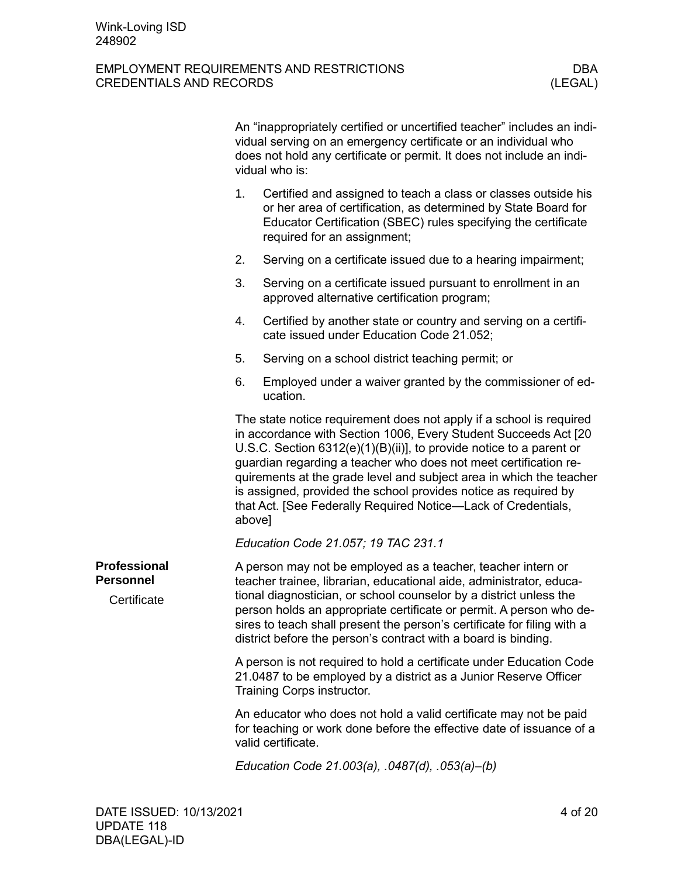<span id="page-3-1"></span><span id="page-3-0"></span>

|                                                        |                                                                                                                                                                                                                                                                                                                                                                                                                                                                                                          | An "inappropriately certified or uncertified teacher" includes an indi-<br>vidual serving on an emergency certificate or an individual who<br>does not hold any certificate or permit. It does not include an indi-<br>vidual who is: |  |  |
|--------------------------------------------------------|----------------------------------------------------------------------------------------------------------------------------------------------------------------------------------------------------------------------------------------------------------------------------------------------------------------------------------------------------------------------------------------------------------------------------------------------------------------------------------------------------------|---------------------------------------------------------------------------------------------------------------------------------------------------------------------------------------------------------------------------------------|--|--|
|                                                        | 1.                                                                                                                                                                                                                                                                                                                                                                                                                                                                                                       | Certified and assigned to teach a class or classes outside his<br>or her area of certification, as determined by State Board for<br>Educator Certification (SBEC) rules specifying the certificate<br>required for an assignment;     |  |  |
|                                                        | 2.                                                                                                                                                                                                                                                                                                                                                                                                                                                                                                       | Serving on a certificate issued due to a hearing impairment;                                                                                                                                                                          |  |  |
|                                                        | 3.                                                                                                                                                                                                                                                                                                                                                                                                                                                                                                       | Serving on a certificate issued pursuant to enrollment in an<br>approved alternative certification program;                                                                                                                           |  |  |
|                                                        | 4.                                                                                                                                                                                                                                                                                                                                                                                                                                                                                                       | Certified by another state or country and serving on a certifi-<br>cate issued under Education Code 21.052;                                                                                                                           |  |  |
|                                                        | 5.                                                                                                                                                                                                                                                                                                                                                                                                                                                                                                       | Serving on a school district teaching permit; or                                                                                                                                                                                      |  |  |
|                                                        | 6.                                                                                                                                                                                                                                                                                                                                                                                                                                                                                                       | Employed under a waiver granted by the commissioner of ed-<br>ucation.                                                                                                                                                                |  |  |
|                                                        | The state notice requirement does not apply if a school is required<br>in accordance with Section 1006, Every Student Succeeds Act [20<br>U.S.C. Section $6312(e)(1)(B)(ii)$ , to provide notice to a parent or<br>guardian regarding a teacher who does not meet certification re-<br>quirements at the grade level and subject area in which the teacher<br>is assigned, provided the school provides notice as required by<br>that Act. [See Federally Required Notice-Lack of Credentials,<br>above] |                                                                                                                                                                                                                                       |  |  |
|                                                        |                                                                                                                                                                                                                                                                                                                                                                                                                                                                                                          | Education Code 21.057; 19 TAC 231.1                                                                                                                                                                                                   |  |  |
| <b>Professional</b><br><b>Personnel</b><br>Certificate | A person may not be employed as a teacher, teacher intern or<br>teacher trainee, librarian, educational aide, administrator, educa-<br>tional diagnostician, or school counselor by a district unless the<br>person holds an appropriate certificate or permit. A person who de-<br>sires to teach shall present the person's certificate for filing with a<br>district before the person's contract with a board is binding.                                                                            |                                                                                                                                                                                                                                       |  |  |
|                                                        |                                                                                                                                                                                                                                                                                                                                                                                                                                                                                                          | A person is not required to hold a certificate under Education Code<br>21.0487 to be employed by a district as a Junior Reserve Officer<br>Training Corps instructor.                                                                 |  |  |
|                                                        |                                                                                                                                                                                                                                                                                                                                                                                                                                                                                                          | An educator who does not hold a valid certificate may not be paid<br>for teaching or work done before the effective date of issuance of a<br>valid certificate.                                                                       |  |  |
|                                                        | Education Code 21.003(a), .0487(d), .053(a)-(b)                                                                                                                                                                                                                                                                                                                                                                                                                                                          |                                                                                                                                                                                                                                       |  |  |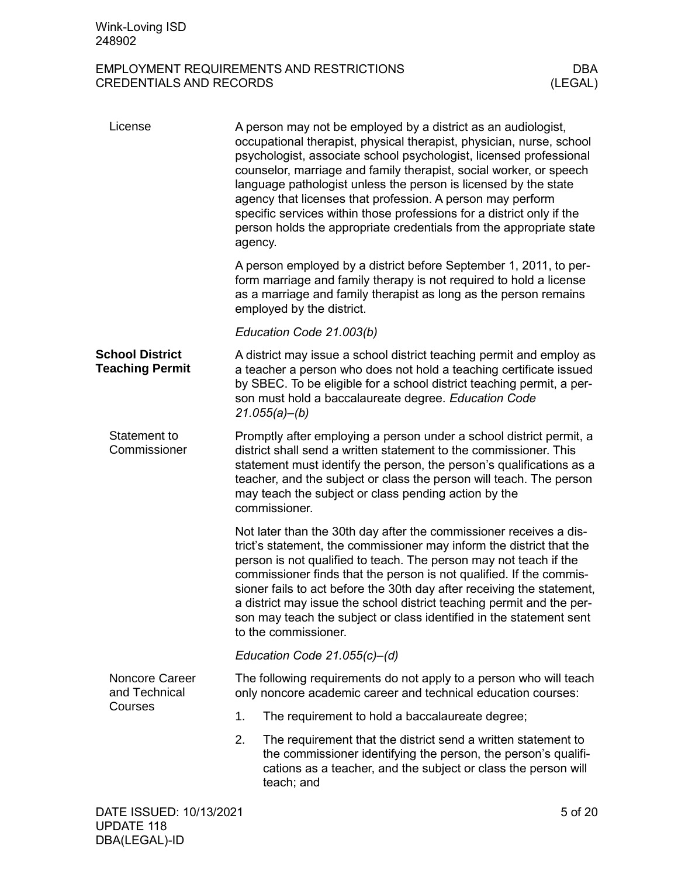<span id="page-4-3"></span><span id="page-4-2"></span><span id="page-4-1"></span><span id="page-4-0"></span>

| License                                          | A person may not be employed by a district as an audiologist,<br>occupational therapist, physical therapist, physician, nurse, school<br>psychologist, associate school psychologist, licensed professional<br>counselor, marriage and family therapist, social worker, or speech<br>language pathologist unless the person is licensed by the state<br>agency that licenses that profession. A person may perform<br>specific services within those professions for a district only if the<br>person holds the appropriate credentials from the appropriate state<br>agency. |  |  |  |  |  |
|--------------------------------------------------|-------------------------------------------------------------------------------------------------------------------------------------------------------------------------------------------------------------------------------------------------------------------------------------------------------------------------------------------------------------------------------------------------------------------------------------------------------------------------------------------------------------------------------------------------------------------------------|--|--|--|--|--|
|                                                  | A person employed by a district before September 1, 2011, to per-<br>form marriage and family therapy is not required to hold a license<br>as a marriage and family therapist as long as the person remains<br>employed by the district.                                                                                                                                                                                                                                                                                                                                      |  |  |  |  |  |
|                                                  | Education Code 21.003(b)                                                                                                                                                                                                                                                                                                                                                                                                                                                                                                                                                      |  |  |  |  |  |
| <b>School District</b><br><b>Teaching Permit</b> | A district may issue a school district teaching permit and employ as<br>a teacher a person who does not hold a teaching certificate issued<br>by SBEC. To be eligible for a school district teaching permit, a per-<br>son must hold a baccalaureate degree. Education Code<br>21.055(a)–(b)                                                                                                                                                                                                                                                                                  |  |  |  |  |  |
| Statement to<br>Commissioner                     | Promptly after employing a person under a school district permit, a<br>district shall send a written statement to the commissioner. This<br>statement must identify the person, the person's qualifications as a<br>teacher, and the subject or class the person will teach. The person<br>may teach the subject or class pending action by the<br>commissioner.                                                                                                                                                                                                              |  |  |  |  |  |
|                                                  | Not later than the 30th day after the commissioner receives a dis-<br>trict's statement, the commissioner may inform the district that the<br>person is not qualified to teach. The person may not teach if the<br>commissioner finds that the person is not qualified. If the commis-<br>sioner fails to act before the 30th day after receiving the statement,<br>a district may issue the school district teaching permit and the per-<br>son may teach the subject or class identified in the statement sent<br>to the commissioner.                                      |  |  |  |  |  |
|                                                  | Education Code $21.055(c) - (d)$                                                                                                                                                                                                                                                                                                                                                                                                                                                                                                                                              |  |  |  |  |  |
| <b>Noncore Career</b><br>and Technical           | The following requirements do not apply to a person who will teach<br>only noncore academic career and technical education courses:                                                                                                                                                                                                                                                                                                                                                                                                                                           |  |  |  |  |  |
| Courses                                          | 1.<br>The requirement to hold a baccalaureate degree;                                                                                                                                                                                                                                                                                                                                                                                                                                                                                                                         |  |  |  |  |  |
|                                                  | 2.<br>The requirement that the district send a written statement to<br>the commissioner identifying the person, the person's qualifi-<br>cations as a teacher, and the subject or class the person will<br>teach; and                                                                                                                                                                                                                                                                                                                                                         |  |  |  |  |  |
| DATE ISSUED: 10/13/2021                          | 5 of 20                                                                                                                                                                                                                                                                                                                                                                                                                                                                                                                                                                       |  |  |  |  |  |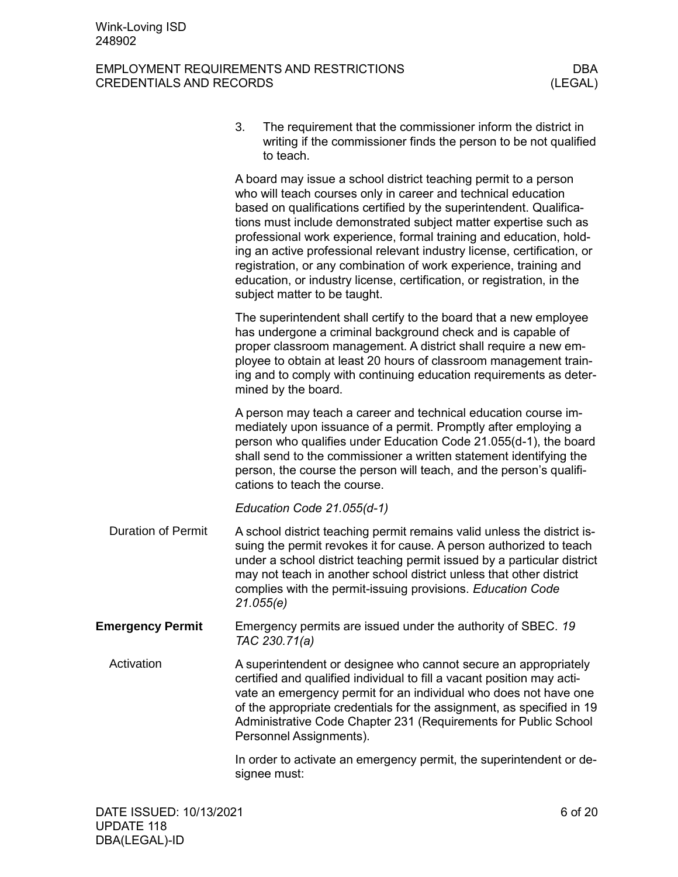### EMPLOYMENT REQUIREMENTS AND RESTRICTIONS DBA CREDENTIALS AND RECORDS (LEGAL)

3. The requirement that the commissioner inform the district in writing if the commissioner finds the person to be not qualified to teach.

A board may issue a school district teaching permit to a person who will teach courses only in career and technical education based on qualifications certified by the superintendent. Qualifications must include demonstrated subject matter expertise such as professional work experience, formal training and education, holding an active professional relevant industry license, certification, or registration, or any combination of work experience, training and education, or industry license, certification, or registration, in the subject matter to be taught.

The superintendent shall certify to the board that a new employee has undergone a criminal background check and is capable of proper classroom management. A district shall require a new employee to obtain at least 20 hours of classroom management training and to comply with continuing education requirements as determined by the board.

A person may teach a career and technical education course immediately upon issuance of a permit. Promptly after employing a person who qualifies under Education Code 21.055(d-1), the board shall send to the commissioner a written statement identifying the person, the course the person will teach, and the person's qualifications to teach the course.

*Education Code 21.055(d-1)*

- <span id="page-5-0"></span>A school district teaching permit remains valid unless the district issuing the permit revokes it for cause. A person authorized to teach under a school district teaching permit issued by a particular district may not teach in another school district unless that other district complies with the permit-issuing provisions. *Education Code 21.055(e)* Duration of Permit
- <span id="page-5-1"></span>Emergency permits are issued under the authority of SBEC. *19 TAC 230.71(a)* **Emergency Permit**

<span id="page-5-2"></span>A superintendent or designee who cannot secure an appropriately certified and qualified individual to fill a vacant position may activate an emergency permit for an individual who does not have one of the appropriate credentials for the assignment, as specified in 19 Administrative Code Chapter 231 (Requirements for Public School Personnel Assignments). Activation

> In order to activate an emergency permit, the superintendent or designee must: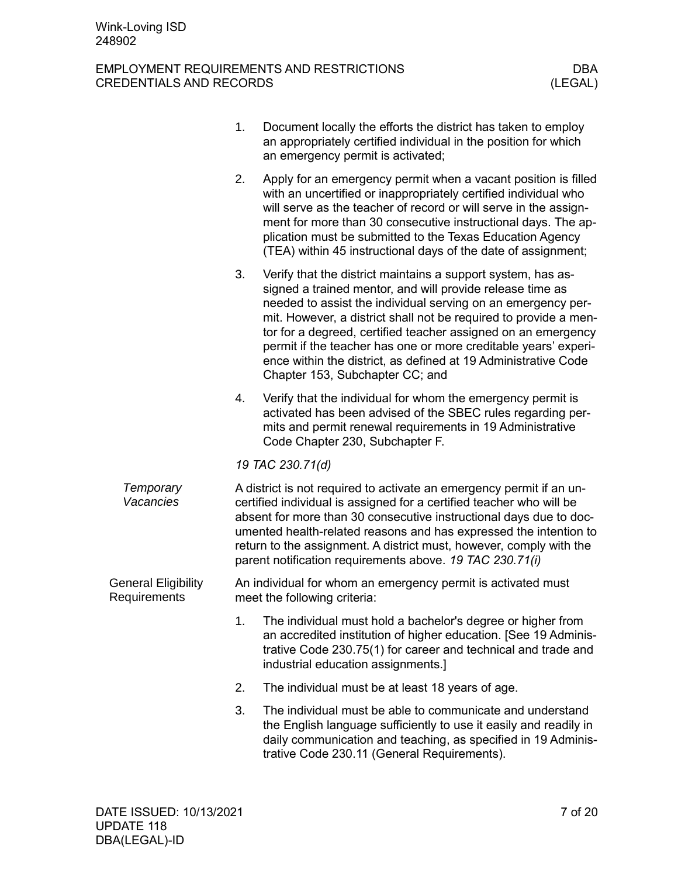<span id="page-6-0"></span>

|                                            | 1. | Document locally the efforts the district has taken to employ<br>an appropriately certified individual in the position for which<br>an emergency permit is activated;                                                                                                                                                                                                                                                                                                                                  |
|--------------------------------------------|----|--------------------------------------------------------------------------------------------------------------------------------------------------------------------------------------------------------------------------------------------------------------------------------------------------------------------------------------------------------------------------------------------------------------------------------------------------------------------------------------------------------|
|                                            | 2. | Apply for an emergency permit when a vacant position is filled<br>with an uncertified or inappropriately certified individual who<br>will serve as the teacher of record or will serve in the assign-<br>ment for more than 30 consecutive instructional days. The ap-<br>plication must be submitted to the Texas Education Agency<br>(TEA) within 45 instructional days of the date of assignment;                                                                                                   |
|                                            | 3. | Verify that the district maintains a support system, has as-<br>signed a trained mentor, and will provide release time as<br>needed to assist the individual serving on an emergency per-<br>mit. However, a district shall not be required to provide a men-<br>tor for a degreed, certified teacher assigned on an emergency<br>permit if the teacher has one or more creditable years' experi-<br>ence within the district, as defined at 19 Administrative Code<br>Chapter 153, Subchapter CC; and |
|                                            | 4. | Verify that the individual for whom the emergency permit is<br>activated has been advised of the SBEC rules regarding per-<br>mits and permit renewal requirements in 19 Administrative<br>Code Chapter 230, Subchapter F.                                                                                                                                                                                                                                                                             |
|                                            |    | 19 TAC 230.71(d)                                                                                                                                                                                                                                                                                                                                                                                                                                                                                       |
| Temporary<br>Vacancies                     |    | A district is not required to activate an emergency permit if an un-<br>certified individual is assigned for a certified teacher who will be<br>absent for more than 30 consecutive instructional days due to doc-<br>umented health-related reasons and has expressed the intention to<br>return to the assignment. A district must, however, comply with the<br>parent notification requirements above. 19 TAC 230.71(i)                                                                             |
| <b>General Eligibility</b><br>Requirements |    | An individual for whom an emergency permit is activated must<br>meet the following criteria:                                                                                                                                                                                                                                                                                                                                                                                                           |
|                                            | 1. | The individual must hold a bachelor's degree or higher from<br>an accredited institution of higher education. [See 19 Adminis-<br>trative Code 230.75(1) for career and technical and trade and<br>industrial education assignments.]                                                                                                                                                                                                                                                                  |
|                                            | 2. | The individual must be at least 18 years of age.                                                                                                                                                                                                                                                                                                                                                                                                                                                       |
|                                            | 3. | The individual must be able to communicate and understand<br>the English language sufficiently to use it easily and readily in<br>daily communication and teaching, as specified in 19 Adminis-<br>trative Code 230.11 (General Requirements).                                                                                                                                                                                                                                                         |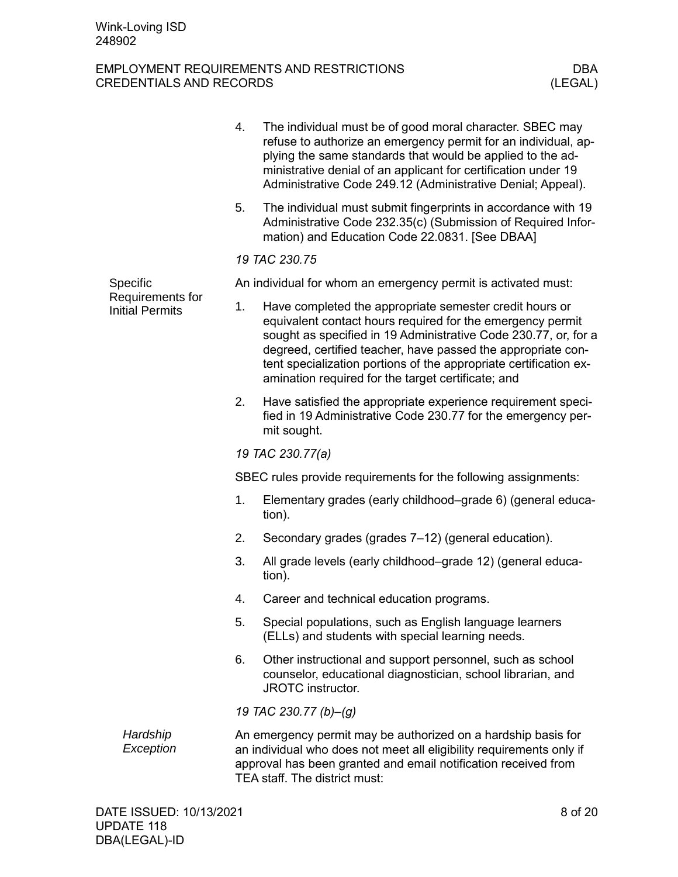<span id="page-7-0"></span>

|                                            | 4.                                                             | The individual must be of good moral character. SBEC may<br>refuse to authorize an emergency permit for an individual, ap-<br>plying the same standards that would be applied to the ad-<br>ministrative denial of an applicant for certification under 19<br>Administrative Code 249.12 (Administrative Denial; Appeal).                                                           |  |  |  |  |
|--------------------------------------------|----------------------------------------------------------------|-------------------------------------------------------------------------------------------------------------------------------------------------------------------------------------------------------------------------------------------------------------------------------------------------------------------------------------------------------------------------------------|--|--|--|--|
|                                            | 5.                                                             | The individual must submit fingerprints in accordance with 19<br>Administrative Code 232.35(c) (Submission of Required Infor-<br>mation) and Education Code 22.0831. [See DBAA]                                                                                                                                                                                                     |  |  |  |  |
|                                            |                                                                | 19 TAC 230.75                                                                                                                                                                                                                                                                                                                                                                       |  |  |  |  |
| Specific                                   |                                                                | An individual for whom an emergency permit is activated must:                                                                                                                                                                                                                                                                                                                       |  |  |  |  |
| Requirements for<br><b>Initial Permits</b> | 1.                                                             | Have completed the appropriate semester credit hours or<br>equivalent contact hours required for the emergency permit<br>sought as specified in 19 Administrative Code 230.77, or, for a<br>degreed, certified teacher, have passed the appropriate con-<br>tent specialization portions of the appropriate certification ex-<br>amination required for the target certificate; and |  |  |  |  |
|                                            | 2.                                                             | Have satisfied the appropriate experience requirement speci-<br>fied in 19 Administrative Code 230.77 for the emergency per-<br>mit sought.                                                                                                                                                                                                                                         |  |  |  |  |
|                                            | 19 TAC 230.77(a)                                               |                                                                                                                                                                                                                                                                                                                                                                                     |  |  |  |  |
|                                            | SBEC rules provide requirements for the following assignments: |                                                                                                                                                                                                                                                                                                                                                                                     |  |  |  |  |
|                                            | 1.                                                             | Elementary grades (early childhood–grade 6) (general educa-<br>tion).                                                                                                                                                                                                                                                                                                               |  |  |  |  |
|                                            | 2.                                                             | Secondary grades (grades 7–12) (general education).                                                                                                                                                                                                                                                                                                                                 |  |  |  |  |
|                                            | 3.                                                             | All grade levels (early childhood–grade 12) (general educa-<br>tion).                                                                                                                                                                                                                                                                                                               |  |  |  |  |
|                                            | 4.                                                             | Career and technical education programs.                                                                                                                                                                                                                                                                                                                                            |  |  |  |  |
|                                            | 5.                                                             | Special populations, such as English language learners<br>(ELLs) and students with special learning needs.                                                                                                                                                                                                                                                                          |  |  |  |  |
|                                            | 6.                                                             | Other instructional and support personnel, such as school<br>counselor, educational diagnostician, school librarian, and<br>JROTC instructor.                                                                                                                                                                                                                                       |  |  |  |  |
|                                            | 19 TAC 230.77 (b)-(g)                                          |                                                                                                                                                                                                                                                                                                                                                                                     |  |  |  |  |
| Hardship<br>Exception                      |                                                                | An emergency permit may be authorized on a hardship basis for<br>an individual who does not meet all eligibility requirements only if<br>approval has been granted and email notification received from<br>TEA staff. The district must:                                                                                                                                            |  |  |  |  |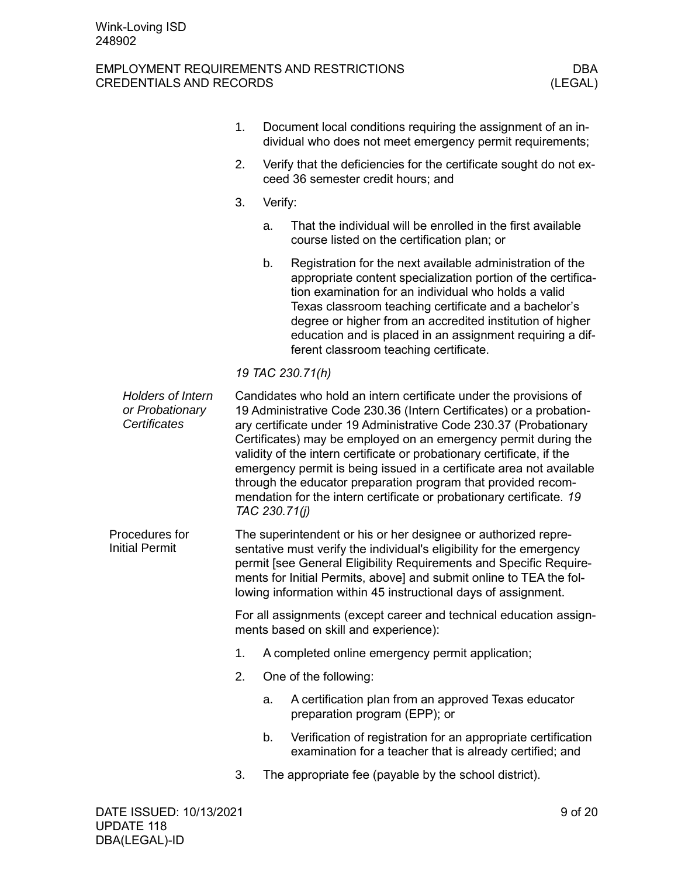<span id="page-8-0"></span>

|                                                      | 1. |               | Document local conditions requiring the assignment of an in-<br>dividual who does not meet emergency permit requirements;                                                                                                                                                                                                                                                                                                                                                                                                                                                   |         |
|------------------------------------------------------|----|---------------|-----------------------------------------------------------------------------------------------------------------------------------------------------------------------------------------------------------------------------------------------------------------------------------------------------------------------------------------------------------------------------------------------------------------------------------------------------------------------------------------------------------------------------------------------------------------------------|---------|
|                                                      | 2. |               | Verify that the deficiencies for the certificate sought do not ex-<br>ceed 36 semester credit hours; and                                                                                                                                                                                                                                                                                                                                                                                                                                                                    |         |
|                                                      | 3. | Verify:       |                                                                                                                                                                                                                                                                                                                                                                                                                                                                                                                                                                             |         |
|                                                      |    | a.            | That the individual will be enrolled in the first available<br>course listed on the certification plan; or                                                                                                                                                                                                                                                                                                                                                                                                                                                                  |         |
|                                                      |    | b.            | Registration for the next available administration of the<br>appropriate content specialization portion of the certifica-<br>tion examination for an individual who holds a valid<br>Texas classroom teaching certificate and a bachelor's<br>degree or higher from an accredited institution of higher<br>education and is placed in an assignment requiring a dif-<br>ferent classroom teaching certificate.                                                                                                                                                              |         |
|                                                      |    |               | 19 TAC 230.71(h)                                                                                                                                                                                                                                                                                                                                                                                                                                                                                                                                                            |         |
| Holders of Intern<br>or Probationary<br>Certificates |    | TAC 230.71(j) | Candidates who hold an intern certificate under the provisions of<br>19 Administrative Code 230.36 (Intern Certificates) or a probation-<br>ary certificate under 19 Administrative Code 230.37 (Probationary<br>Certificates) may be employed on an emergency permit during the<br>validity of the intern certificate or probationary certificate, if the<br>emergency permit is being issued in a certificate area not available<br>through the educator preparation program that provided recom-<br>mendation for the intern certificate or probationary certificate. 19 |         |
| Procedures for<br><b>Initial Permit</b>              |    |               | The superintendent or his or her designee or authorized repre-<br>sentative must verify the individual's eligibility for the emergency<br>permit [see General Eligibility Requirements and Specific Require-<br>ments for Initial Permits, above] and submit online to TEA the fol-<br>lowing information within 45 instructional days of assignment.                                                                                                                                                                                                                       |         |
|                                                      |    |               | For all assignments (except career and technical education assign-<br>ments based on skill and experience):                                                                                                                                                                                                                                                                                                                                                                                                                                                                 |         |
|                                                      | 1. |               | A completed online emergency permit application;                                                                                                                                                                                                                                                                                                                                                                                                                                                                                                                            |         |
|                                                      | 2. |               | One of the following:                                                                                                                                                                                                                                                                                                                                                                                                                                                                                                                                                       |         |
|                                                      |    | a.            | A certification plan from an approved Texas educator<br>preparation program (EPP); or                                                                                                                                                                                                                                                                                                                                                                                                                                                                                       |         |
|                                                      |    | b.            | Verification of registration for an appropriate certification<br>examination for a teacher that is already certified; and                                                                                                                                                                                                                                                                                                                                                                                                                                                   |         |
|                                                      | 3. |               | The appropriate fee (payable by the school district).                                                                                                                                                                                                                                                                                                                                                                                                                                                                                                                       |         |
| DATE ISSUED: 10/13/2021<br>IIDNATE 440               |    |               |                                                                                                                                                                                                                                                                                                                                                                                                                                                                                                                                                                             | 9 of 20 |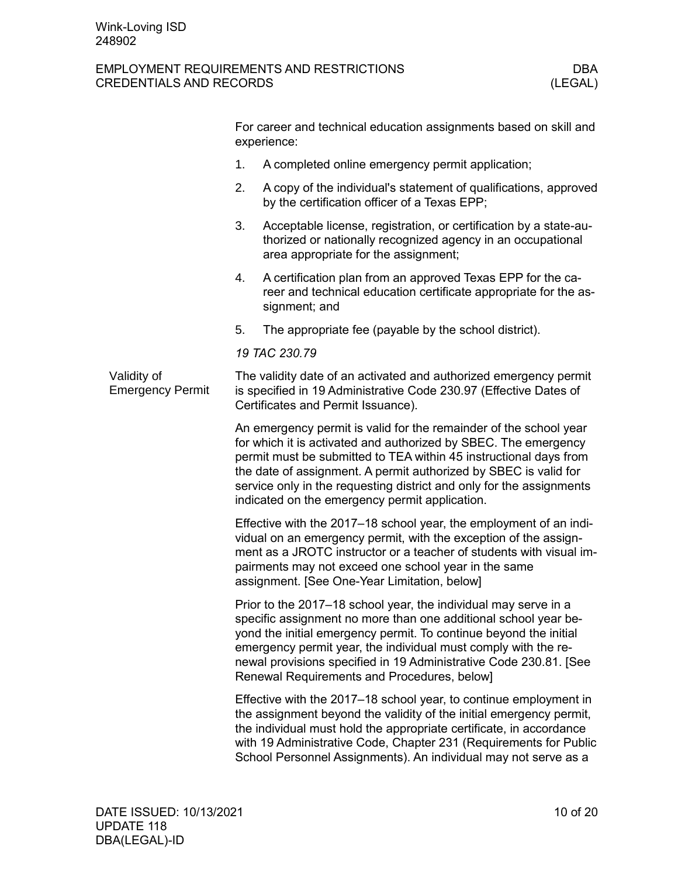<span id="page-9-0"></span>

|                                        |    | For career and technical education assignments based on skill and<br>experience:                                                                                                                                                                                                                                                                                                                        |
|----------------------------------------|----|---------------------------------------------------------------------------------------------------------------------------------------------------------------------------------------------------------------------------------------------------------------------------------------------------------------------------------------------------------------------------------------------------------|
|                                        | 1. | A completed online emergency permit application;                                                                                                                                                                                                                                                                                                                                                        |
|                                        | 2. | A copy of the individual's statement of qualifications, approved<br>by the certification officer of a Texas EPP;                                                                                                                                                                                                                                                                                        |
|                                        | 3. | Acceptable license, registration, or certification by a state-au-<br>thorized or nationally recognized agency in an occupational<br>area appropriate for the assignment;                                                                                                                                                                                                                                |
|                                        | 4. | A certification plan from an approved Texas EPP for the ca-<br>reer and technical education certificate appropriate for the as-<br>signment; and                                                                                                                                                                                                                                                        |
|                                        | 5. | The appropriate fee (payable by the school district).                                                                                                                                                                                                                                                                                                                                                   |
|                                        |    | 19 TAC 230.79                                                                                                                                                                                                                                                                                                                                                                                           |
| Validity of<br><b>Emergency Permit</b> |    | The validity date of an activated and authorized emergency permit<br>is specified in 19 Administrative Code 230.97 (Effective Dates of<br>Certificates and Permit Issuance).                                                                                                                                                                                                                            |
|                                        |    | An emergency permit is valid for the remainder of the school year<br>for which it is activated and authorized by SBEC. The emergency<br>permit must be submitted to TEA within 45 instructional days from<br>the date of assignment. A permit authorized by SBEC is valid for<br>service only in the requesting district and only for the assignments<br>indicated on the emergency permit application. |
|                                        |    | Effective with the 2017–18 school year, the employment of an indi-<br>vidual on an emergency permit, with the exception of the assign-<br>ment as a JROTC instructor or a teacher of students with visual im-<br>pairments may not exceed one school year in the same<br>assignment. [See One-Year Limitation, below]                                                                                   |
|                                        |    | Prior to the 2017–18 school year, the individual may serve in a<br>specific assignment no more than one additional school year be-<br>yond the initial emergency permit. To continue beyond the initial<br>emergency permit year, the individual must comply with the re-<br>newal provisions specified in 19 Administrative Code 230.81. [See<br>Renewal Requirements and Procedures, below]           |
|                                        |    | Effective with the 2017–18 school year, to continue employment in<br>the assignment beyond the validity of the initial emergency permit,<br>the individual must hold the appropriate certificate, in accordance<br>with 19 Administrative Code, Chapter 231 (Requirements for Public<br>School Personnel Assignments). An individual may not serve as a                                                 |
|                                        |    |                                                                                                                                                                                                                                                                                                                                                                                                         |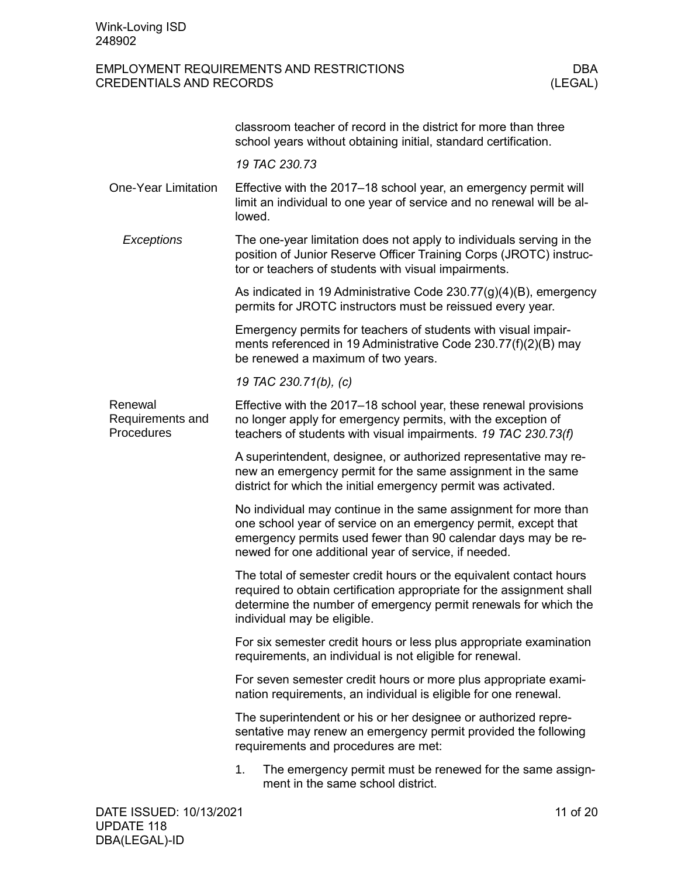<span id="page-10-1"></span><span id="page-10-0"></span>

|                                           | classroom teacher of record in the district for more than three<br>school years without obtaining initial, standard certification.                                                                                                                         |
|-------------------------------------------|------------------------------------------------------------------------------------------------------------------------------------------------------------------------------------------------------------------------------------------------------------|
|                                           | 19 TAC 230.73                                                                                                                                                                                                                                              |
| <b>One-Year Limitation</b>                | Effective with the 2017-18 school year, an emergency permit will<br>limit an individual to one year of service and no renewal will be al-<br>lowed.                                                                                                        |
| Exceptions                                | The one-year limitation does not apply to individuals serving in the<br>position of Junior Reserve Officer Training Corps (JROTC) instruc-<br>tor or teachers of students with visual impairments.                                                         |
|                                           | As indicated in 19 Administrative Code 230.77(g)(4)(B), emergency<br>permits for JROTC instructors must be reissued every year.                                                                                                                            |
|                                           | Emergency permits for teachers of students with visual impair-<br>ments referenced in 19 Administrative Code 230.77(f)(2)(B) may<br>be renewed a maximum of two years.                                                                                     |
|                                           | 19 TAC 230.71(b), (c)                                                                                                                                                                                                                                      |
| Renewal<br>Requirements and<br>Procedures | Effective with the 2017–18 school year, these renewal provisions<br>no longer apply for emergency permits, with the exception of<br>teachers of students with visual impairments. 19 TAC 230.73(f)                                                         |
|                                           | A superintendent, designee, or authorized representative may re-<br>new an emergency permit for the same assignment in the same<br>district for which the initial emergency permit was activated.                                                          |
|                                           | No individual may continue in the same assignment for more than<br>one school year of service on an emergency permit, except that<br>emergency permits used fewer than 90 calendar days may be re-<br>newed for one additional year of service, if needed. |
|                                           | The total of semester credit hours or the equivalent contact hours<br>required to obtain certification appropriate for the assignment shall<br>determine the number of emergency permit renewals for which the<br>individual may be eligible.              |
|                                           | For six semester credit hours or less plus appropriate examination<br>requirements, an individual is not eligible for renewal.                                                                                                                             |
|                                           | For seven semester credit hours or more plus appropriate exami-<br>nation requirements, an individual is eligible for one renewal.                                                                                                                         |
|                                           | The superintendent or his or her designee or authorized repre-<br>sentative may renew an emergency permit provided the following<br>requirements and procedures are met:                                                                                   |
|                                           | 1.<br>The emergency permit must be renewed for the same assign-<br>ment in the same school district.                                                                                                                                                       |
| DATE ISSUED: 10/13/2021                   | 11 of 20                                                                                                                                                                                                                                                   |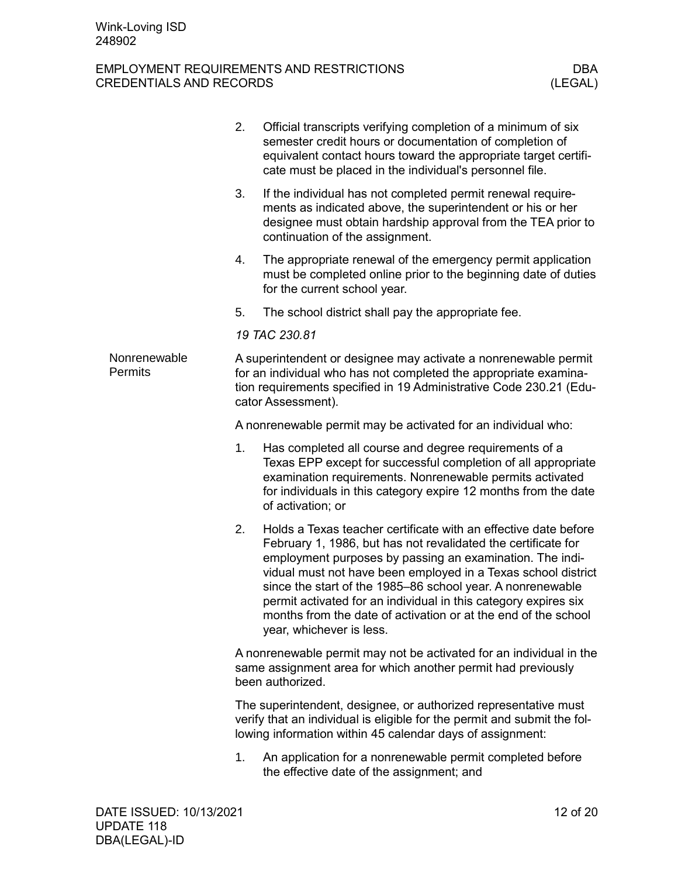<span id="page-11-0"></span>

|                                | 2. | Official transcripts verifying completion of a minimum of six<br>semester credit hours or documentation of completion of<br>equivalent contact hours toward the appropriate target certifi-<br>cate must be placed in the individual's personnel file.                                                                                                                                                                                                                                       |
|--------------------------------|----|----------------------------------------------------------------------------------------------------------------------------------------------------------------------------------------------------------------------------------------------------------------------------------------------------------------------------------------------------------------------------------------------------------------------------------------------------------------------------------------------|
|                                | 3. | If the individual has not completed permit renewal require-<br>ments as indicated above, the superintendent or his or her<br>designee must obtain hardship approval from the TEA prior to<br>continuation of the assignment.                                                                                                                                                                                                                                                                 |
|                                | 4. | The appropriate renewal of the emergency permit application<br>must be completed online prior to the beginning date of duties<br>for the current school year.                                                                                                                                                                                                                                                                                                                                |
|                                | 5. | The school district shall pay the appropriate fee.                                                                                                                                                                                                                                                                                                                                                                                                                                           |
|                                |    | 19 TAC 230.81                                                                                                                                                                                                                                                                                                                                                                                                                                                                                |
| Nonrenewable<br><b>Permits</b> |    | A superintendent or designee may activate a nonrenewable permit<br>for an individual who has not completed the appropriate examina-<br>tion requirements specified in 19 Administrative Code 230.21 (Edu-<br>cator Assessment).                                                                                                                                                                                                                                                              |
|                                |    | A nonrenewable permit may be activated for an individual who:                                                                                                                                                                                                                                                                                                                                                                                                                                |
|                                | 1. | Has completed all course and degree requirements of a<br>Texas EPP except for successful completion of all appropriate<br>examination requirements. Nonrenewable permits activated<br>for individuals in this category expire 12 months from the date<br>of activation; or                                                                                                                                                                                                                   |
|                                | 2. | Holds a Texas teacher certificate with an effective date before<br>February 1, 1986, but has not revalidated the certificate for<br>employment purposes by passing an examination. The indi-<br>vidual must not have been employed in a Texas school district<br>since the start of the 1985-86 school year. A nonrenewable<br>permit activated for an individual in this category expires six<br>months from the date of activation or at the end of the school<br>year, whichever is less. |
|                                |    | A nonrenewable permit may not be activated for an individual in the<br>same assignment area for which another permit had previously<br>been authorized.                                                                                                                                                                                                                                                                                                                                      |
|                                |    | The superintendent, designee, or authorized representative must<br>verify that an individual is eligible for the permit and submit the fol-<br>lowing information within 45 calendar days of assignment:                                                                                                                                                                                                                                                                                     |
|                                | 1. | An application for a nonrenewable permit completed before<br>the effective date of the assignment; and                                                                                                                                                                                                                                                                                                                                                                                       |
|                                |    |                                                                                                                                                                                                                                                                                                                                                                                                                                                                                              |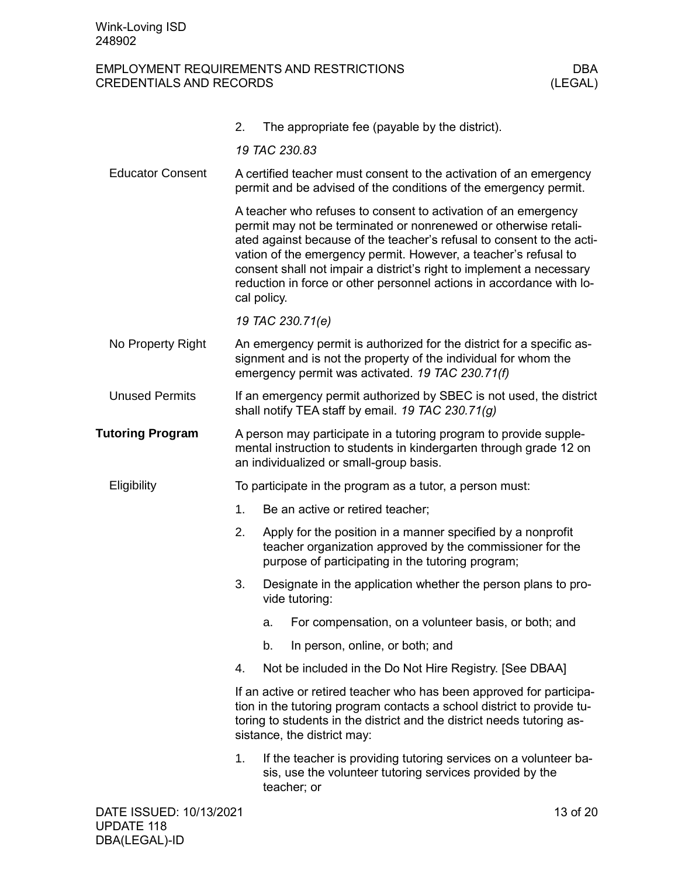<span id="page-12-4"></span><span id="page-12-3"></span><span id="page-12-2"></span><span id="page-12-1"></span><span id="page-12-0"></span>

|                         | 2.                                                                                                                                     |                  | The appropriate fee (payable by the district).                                                                                                                                                                                                                                                                                                                                                                                |  |  |  |
|-------------------------|----------------------------------------------------------------------------------------------------------------------------------------|------------------|-------------------------------------------------------------------------------------------------------------------------------------------------------------------------------------------------------------------------------------------------------------------------------------------------------------------------------------------------------------------------------------------------------------------------------|--|--|--|
|                         |                                                                                                                                        | 19 TAC 230.83    |                                                                                                                                                                                                                                                                                                                                                                                                                               |  |  |  |
| <b>Educator Consent</b> | A certified teacher must consent to the activation of an emergency<br>permit and be advised of the conditions of the emergency permit. |                  |                                                                                                                                                                                                                                                                                                                                                                                                                               |  |  |  |
|                         |                                                                                                                                        | cal policy.      | A teacher who refuses to consent to activation of an emergency<br>permit may not be terminated or nonrenewed or otherwise retali-<br>ated against because of the teacher's refusal to consent to the acti-<br>vation of the emergency permit. However, a teacher's refusal to<br>consent shall not impair a district's right to implement a necessary<br>reduction in force or other personnel actions in accordance with lo- |  |  |  |
|                         |                                                                                                                                        | 19 TAC 230.71(e) |                                                                                                                                                                                                                                                                                                                                                                                                                               |  |  |  |
| No Property Right       |                                                                                                                                        |                  | An emergency permit is authorized for the district for a specific as-<br>signment and is not the property of the individual for whom the<br>emergency permit was activated. 19 TAC 230.71(f)                                                                                                                                                                                                                                  |  |  |  |
| <b>Unused Permits</b>   |                                                                                                                                        |                  | If an emergency permit authorized by SBEC is not used, the district<br>shall notify TEA staff by email. 19 TAC 230.71(g)                                                                                                                                                                                                                                                                                                      |  |  |  |
| <b>Tutoring Program</b> |                                                                                                                                        |                  | A person may participate in a tutoring program to provide supple-<br>mental instruction to students in kindergarten through grade 12 on<br>an individualized or small-group basis.                                                                                                                                                                                                                                            |  |  |  |
| Eligibility             |                                                                                                                                        |                  | To participate in the program as a tutor, a person must:                                                                                                                                                                                                                                                                                                                                                                      |  |  |  |
|                         | 1.                                                                                                                                     |                  | Be an active or retired teacher;                                                                                                                                                                                                                                                                                                                                                                                              |  |  |  |
|                         | 2.                                                                                                                                     |                  | Apply for the position in a manner specified by a nonprofit<br>teacher organization approved by the commissioner for the<br>purpose of participating in the tutoring program;                                                                                                                                                                                                                                                 |  |  |  |
|                         | 3.                                                                                                                                     |                  | Designate in the application whether the person plans to pro-<br>vide tutoring:                                                                                                                                                                                                                                                                                                                                               |  |  |  |
|                         |                                                                                                                                        | a.               | For compensation, on a volunteer basis, or both; and                                                                                                                                                                                                                                                                                                                                                                          |  |  |  |
|                         |                                                                                                                                        | b.               | In person, online, or both; and                                                                                                                                                                                                                                                                                                                                                                                               |  |  |  |
|                         | 4.                                                                                                                                     |                  | Not be included in the Do Not Hire Registry. [See DBAA]                                                                                                                                                                                                                                                                                                                                                                       |  |  |  |
|                         |                                                                                                                                        |                  | If an active or retired teacher who has been approved for participa-<br>tion in the tutoring program contacts a school district to provide tu-<br>toring to students in the district and the district needs tutoring as-<br>sistance, the district may:                                                                                                                                                                       |  |  |  |
|                         | 1.                                                                                                                                     | teacher; or      | If the teacher is providing tutoring services on a volunteer ba-<br>sis, use the volunteer tutoring services provided by the                                                                                                                                                                                                                                                                                                  |  |  |  |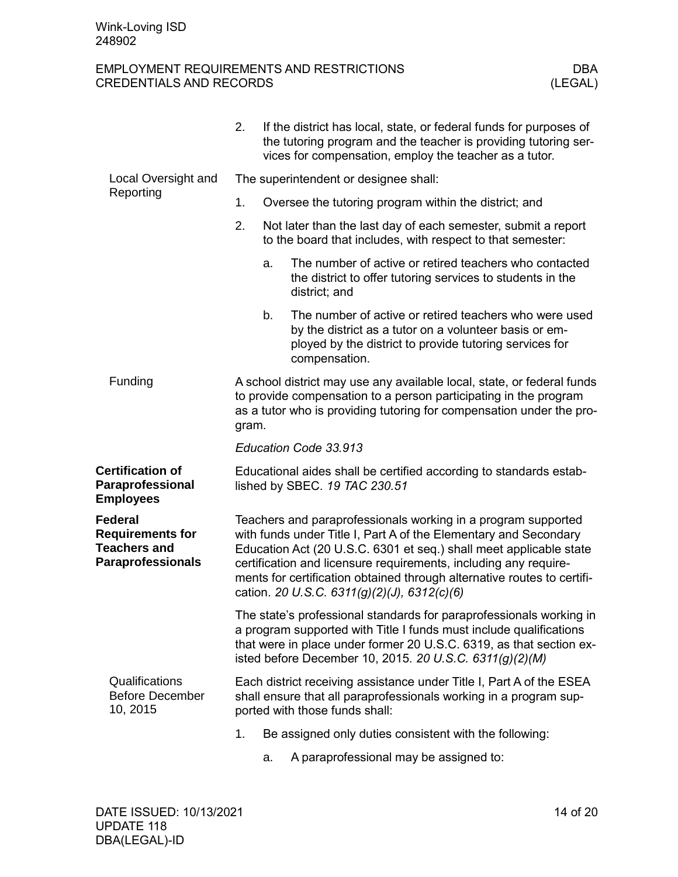<span id="page-13-1"></span><span id="page-13-0"></span>

|                                                                                       | 2.                                                                                                                                                                                                                                                                                                                                                                                                    |                                                       | If the district has local, state, or federal funds for purposes of<br>the tutoring program and the teacher is providing tutoring ser-<br>vices for compensation, employ the teacher as a tutor. |  |  |  |
|---------------------------------------------------------------------------------------|-------------------------------------------------------------------------------------------------------------------------------------------------------------------------------------------------------------------------------------------------------------------------------------------------------------------------------------------------------------------------------------------------------|-------------------------------------------------------|-------------------------------------------------------------------------------------------------------------------------------------------------------------------------------------------------|--|--|--|
| Local Oversight and                                                                   | The superintendent or designee shall:                                                                                                                                                                                                                                                                                                                                                                 |                                                       |                                                                                                                                                                                                 |  |  |  |
| Reporting                                                                             | 1.                                                                                                                                                                                                                                                                                                                                                                                                    | Oversee the tutoring program within the district; and |                                                                                                                                                                                                 |  |  |  |
|                                                                                       | 2.                                                                                                                                                                                                                                                                                                                                                                                                    |                                                       | Not later than the last day of each semester, submit a report<br>to the board that includes, with respect to that semester:                                                                     |  |  |  |
|                                                                                       |                                                                                                                                                                                                                                                                                                                                                                                                       | a.                                                    | The number of active or retired teachers who contacted<br>the district to offer tutoring services to students in the<br>district; and                                                           |  |  |  |
|                                                                                       |                                                                                                                                                                                                                                                                                                                                                                                                       | b.                                                    | The number of active or retired teachers who were used<br>by the district as a tutor on a volunteer basis or em-<br>ployed by the district to provide tutoring services for<br>compensation.    |  |  |  |
| Funding                                                                               | A school district may use any available local, state, or federal funds<br>to provide compensation to a person participating in the program<br>as a tutor who is providing tutoring for compensation under the pro-<br>gram.                                                                                                                                                                           |                                                       |                                                                                                                                                                                                 |  |  |  |
|                                                                                       | Education Code 33.913                                                                                                                                                                                                                                                                                                                                                                                 |                                                       |                                                                                                                                                                                                 |  |  |  |
| <b>Certification of</b><br>Paraprofessional<br><b>Employees</b>                       |                                                                                                                                                                                                                                                                                                                                                                                                       |                                                       | Educational aides shall be certified according to standards estab-<br>lished by SBEC. 19 TAC 230.51                                                                                             |  |  |  |
| Federal<br><b>Requirements for</b><br><b>Teachers and</b><br><b>Paraprofessionals</b> | Teachers and paraprofessionals working in a program supported<br>with funds under Title I, Part A of the Elementary and Secondary<br>Education Act (20 U.S.C. 6301 et seq.) shall meet applicable state<br>certification and licensure requirements, including any require-<br>ments for certification obtained through alternative routes to certifi-<br>cation. 20 U.S.C. 6311(g)(2)(J), 6312(c)(6) |                                                       |                                                                                                                                                                                                 |  |  |  |
|                                                                                       | The state's professional standards for paraprofessionals working in<br>a program supported with Title I funds must include qualifications<br>that were in place under former 20 U.S.C. 6319, as that section ex-<br>isted before December 10, 2015. 20 U.S.C. 6311(g)(2)(M)                                                                                                                           |                                                       |                                                                                                                                                                                                 |  |  |  |
| Qualifications<br><b>Before December</b><br>10, 2015                                  | Each district receiving assistance under Title I, Part A of the ESEA<br>shall ensure that all paraprofessionals working in a program sup-<br>ported with those funds shall:                                                                                                                                                                                                                           |                                                       |                                                                                                                                                                                                 |  |  |  |
|                                                                                       | 1.                                                                                                                                                                                                                                                                                                                                                                                                    |                                                       | Be assigned only duties consistent with the following:                                                                                                                                          |  |  |  |

<span id="page-13-4"></span><span id="page-13-3"></span><span id="page-13-2"></span>a. A paraprofessional may be assigned to: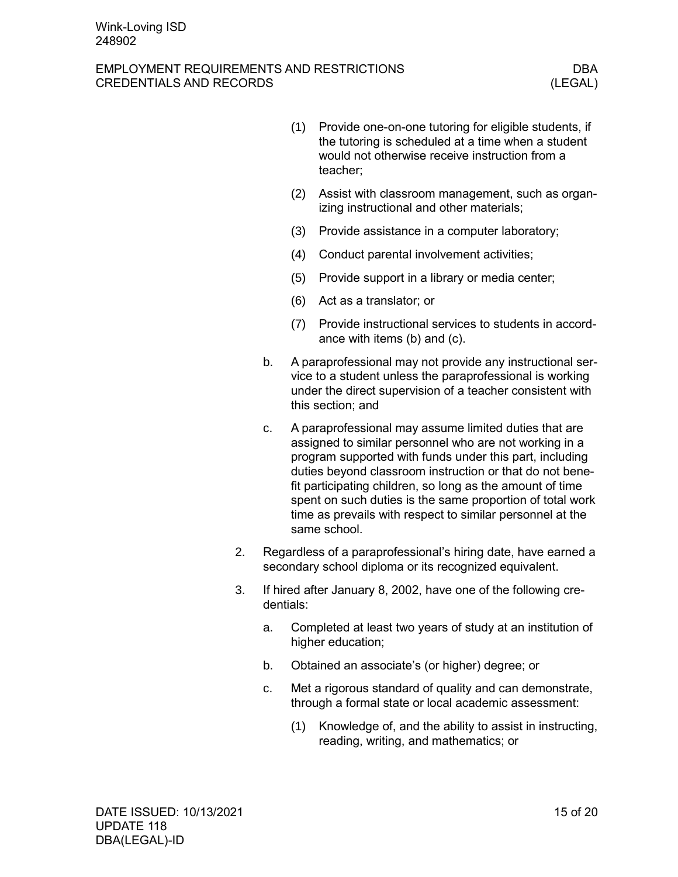### EMPLOYMENT REQUIREMENTS AND RESTRICTIONS DBA CREDENTIALS AND RECORDS (LEGAL)

- (1) Provide one-on-one tutoring for eligible students, if the tutoring is scheduled at a time when a student would not otherwise receive instruction from a teacher;
- (2) Assist with classroom management, such as organizing instructional and other materials;
- (3) Provide assistance in a computer laboratory;
- (4) Conduct parental involvement activities;
- (5) Provide support in a library or media center;
- (6) Act as a translator; or
- (7) Provide instructional services to students in accordance with items (b) and (c).
- b. A paraprofessional may not provide any instructional service to a student unless the paraprofessional is working under the direct supervision of a teacher consistent with this section; and
- c. A paraprofessional may assume limited duties that are assigned to similar personnel who are not working in a program supported with funds under this part, including duties beyond classroom instruction or that do not benefit participating children, so long as the amount of time spent on such duties is the same proportion of total work time as prevails with respect to similar personnel at the same school.
- 2. Regardless of a paraprofessional's hiring date, have earned a secondary school diploma or its recognized equivalent.
- 3. If hired after January 8, 2002, have one of the following credentials:
	- a. Completed at least two years of study at an institution of higher education;
	- b. Obtained an associate's (or higher) degree; or
	- c. Met a rigorous standard of quality and can demonstrate, through a formal state or local academic assessment:
		- (1) Knowledge of, and the ability to assist in instructing, reading, writing, and mathematics; or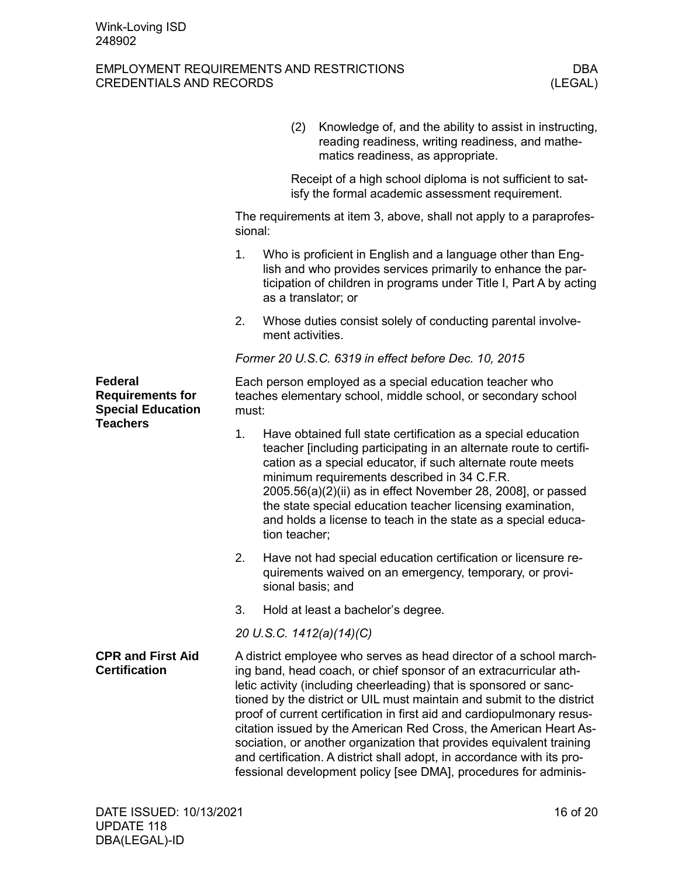<span id="page-15-1"></span><span id="page-15-0"></span>

|                                                                                   |                                                                                                                                   | (2)                      |  | Knowledge of, and the ability to assist in instructing,<br>reading readiness, writing readiness, and mathe-<br>matics readiness, as appropriate.                                                                                                                                                                                                                                                                                                                                                                                                                                                                                                            |  |  |
|-----------------------------------------------------------------------------------|-----------------------------------------------------------------------------------------------------------------------------------|--------------------------|--|-------------------------------------------------------------------------------------------------------------------------------------------------------------------------------------------------------------------------------------------------------------------------------------------------------------------------------------------------------------------------------------------------------------------------------------------------------------------------------------------------------------------------------------------------------------------------------------------------------------------------------------------------------------|--|--|
|                                                                                   |                                                                                                                                   |                          |  | Receipt of a high school diploma is not sufficient to sat-<br>isfy the formal academic assessment requirement.                                                                                                                                                                                                                                                                                                                                                                                                                                                                                                                                              |  |  |
|                                                                                   | sional:                                                                                                                           |                          |  | The requirements at item 3, above, shall not apply to a paraprofes-                                                                                                                                                                                                                                                                                                                                                                                                                                                                                                                                                                                         |  |  |
|                                                                                   | 1.                                                                                                                                | as a translator; or      |  | Who is proficient in English and a language other than Eng-<br>lish and who provides services primarily to enhance the par-<br>ticipation of children in programs under Title I, Part A by acting                                                                                                                                                                                                                                                                                                                                                                                                                                                           |  |  |
|                                                                                   | 2.                                                                                                                                | ment activities.         |  | Whose duties consist solely of conducting parental involve-                                                                                                                                                                                                                                                                                                                                                                                                                                                                                                                                                                                                 |  |  |
|                                                                                   |                                                                                                                                   |                          |  | Former 20 U.S.C. 6319 in effect before Dec. 10, 2015                                                                                                                                                                                                                                                                                                                                                                                                                                                                                                                                                                                                        |  |  |
| Federal<br><b>Requirements for</b><br><b>Special Education</b><br><b>Teachers</b> | Each person employed as a special education teacher who<br>teaches elementary school, middle school, or secondary school<br>must: |                          |  |                                                                                                                                                                                                                                                                                                                                                                                                                                                                                                                                                                                                                                                             |  |  |
|                                                                                   | 1.                                                                                                                                | tion teacher;            |  | Have obtained full state certification as a special education<br>teacher [including participating in an alternate route to certifi-<br>cation as a special educator, if such alternate route meets<br>minimum requirements described in 34 C.F.R.<br>2005.56(a)(2)(ii) as in effect November 28, 2008], or passed<br>the state special education teacher licensing examination,<br>and holds a license to teach in the state as a special educa-                                                                                                                                                                                                            |  |  |
|                                                                                   | 2.                                                                                                                                | sional basis; and        |  | Have not had special education certification or licensure re-<br>quirements waived on an emergency, temporary, or provi-                                                                                                                                                                                                                                                                                                                                                                                                                                                                                                                                    |  |  |
|                                                                                   | 3.                                                                                                                                |                          |  | Hold at least a bachelor's degree.                                                                                                                                                                                                                                                                                                                                                                                                                                                                                                                                                                                                                          |  |  |
|                                                                                   |                                                                                                                                   | 20 U.S.C. 1412(a)(14)(C) |  |                                                                                                                                                                                                                                                                                                                                                                                                                                                                                                                                                                                                                                                             |  |  |
| <b>CPR and First Aid</b><br><b>Certification</b>                                  |                                                                                                                                   |                          |  | A district employee who serves as head director of a school march-<br>ing band, head coach, or chief sponsor of an extracurricular ath-<br>letic activity (including cheerleading) that is sponsored or sanc-<br>tioned by the district or UIL must maintain and submit to the district<br>proof of current certification in first aid and cardiopulmonary resus-<br>citation issued by the American Red Cross, the American Heart As-<br>sociation, or another organization that provides equivalent training<br>and certification. A district shall adopt, in accordance with its pro-<br>fessional development policy [see DMA], procedures for adminis- |  |  |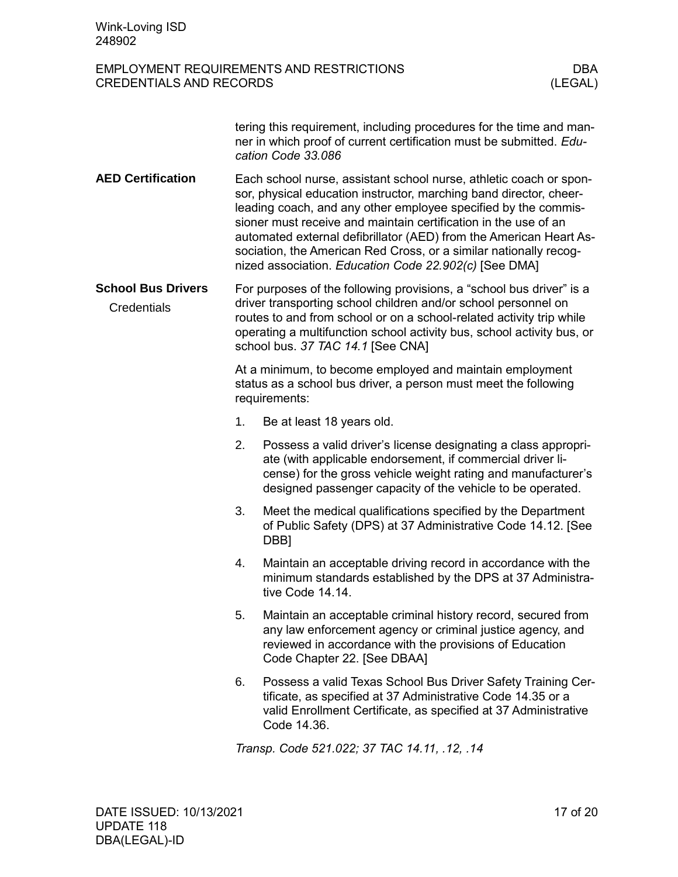<span id="page-16-2"></span><span id="page-16-1"></span><span id="page-16-0"></span>

| Wink-Loving ISD<br>248902                |                                                                                                                                                                                                                                                                                                                                                                                                                                                                                   |                                                                                                                                                                                                                                                             |  |
|------------------------------------------|-----------------------------------------------------------------------------------------------------------------------------------------------------------------------------------------------------------------------------------------------------------------------------------------------------------------------------------------------------------------------------------------------------------------------------------------------------------------------------------|-------------------------------------------------------------------------------------------------------------------------------------------------------------------------------------------------------------------------------------------------------------|--|
| <b>CREDENTIALS AND RECORDS</b>           |                                                                                                                                                                                                                                                                                                                                                                                                                                                                                   | <b>EMPLOYMENT REQUIREMENTS AND RESTRICTIONS</b><br>DBA<br>(LEGAL)                                                                                                                                                                                           |  |
|                                          | tering this requirement, including procedures for the time and man-<br>ner in which proof of current certification must be submitted. Edu-<br>cation Code 33.086                                                                                                                                                                                                                                                                                                                  |                                                                                                                                                                                                                                                             |  |
| <b>AED Certification</b>                 | Each school nurse, assistant school nurse, athletic coach or spon-<br>sor, physical education instructor, marching band director, cheer-<br>leading coach, and any other employee specified by the commis-<br>sioner must receive and maintain certification in the use of an<br>automated external defibrillator (AED) from the American Heart As-<br>sociation, the American Red Cross, or a similar nationally recog-<br>nized association. Education Code 22.902(c) [See DMA] |                                                                                                                                                                                                                                                             |  |
| <b>School Bus Drivers</b><br>Credentials | For purposes of the following provisions, a "school bus driver" is a<br>driver transporting school children and/or school personnel on<br>routes to and from school or on a school-related activity trip while<br>operating a multifunction school activity bus, school activity bus, or<br>school bus. 37 TAC 14.1 [See CNA]                                                                                                                                                     |                                                                                                                                                                                                                                                             |  |
|                                          | At a minimum, to become employed and maintain employment<br>status as a school bus driver, a person must meet the following<br>requirements:                                                                                                                                                                                                                                                                                                                                      |                                                                                                                                                                                                                                                             |  |
|                                          | 1.                                                                                                                                                                                                                                                                                                                                                                                                                                                                                | Be at least 18 years old.                                                                                                                                                                                                                                   |  |
|                                          | 2.                                                                                                                                                                                                                                                                                                                                                                                                                                                                                | Possess a valid driver's license designating a class appropri-<br>ate (with applicable endorsement, if commercial driver li-<br>cense) for the gross vehicle weight rating and manufacturer's<br>designed passenger capacity of the vehicle to be operated. |  |
|                                          | 3.                                                                                                                                                                                                                                                                                                                                                                                                                                                                                | Meet the medical qualifications specified by the Department<br>of Public Safety (DPS) at 37 Administrative Code 14.12. [See<br>DBB <sub>1</sub>                                                                                                             |  |
|                                          | 4.                                                                                                                                                                                                                                                                                                                                                                                                                                                                                | Maintain an acceptable driving record in accordance with the<br>minimum standards established by the DPS at 37 Administra-<br>tive Code 14.14.                                                                                                              |  |
|                                          | 5.                                                                                                                                                                                                                                                                                                                                                                                                                                                                                | Maintain an acceptable criminal history record, secured from<br>any law enforcement agency or criminal justice agency, and<br>reviewed in accordance with the provisions of Education<br>Code Chapter 22. [See DBAA]                                        |  |
|                                          | 6.                                                                                                                                                                                                                                                                                                                                                                                                                                                                                | Possess a valid Texas School Bus Driver Safety Training Cer-<br>tificate, as specified at 37 Administrative Code 14.35 or a<br>valid Enrollment Certificate, as specified at 37 Administrative<br>Code 14.36.                                               |  |
|                                          |                                                                                                                                                                                                                                                                                                                                                                                                                                                                                   | Transp. Code 521.022; 37 TAC 14.11, .12, .14                                                                                                                                                                                                                |  |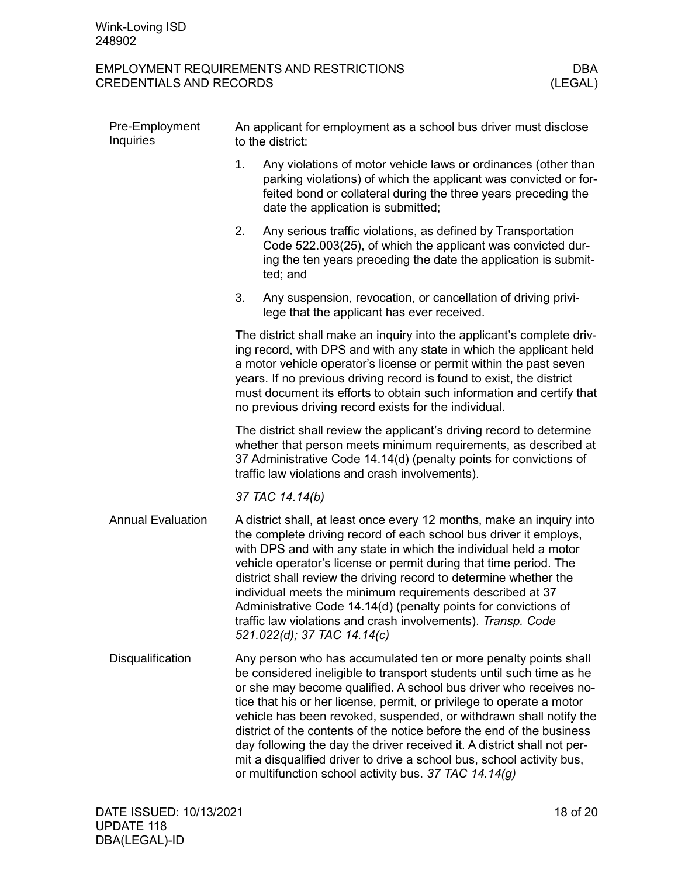<span id="page-17-2"></span><span id="page-17-1"></span><span id="page-17-0"></span>

| Pre-Employment<br>Inquiries | An applicant for employment as a school bus driver must disclose<br>to the district:                                                                                                                                                                                                                                                                                                                                                                                                                                                                                                                                                              |  |  |  |
|-----------------------------|---------------------------------------------------------------------------------------------------------------------------------------------------------------------------------------------------------------------------------------------------------------------------------------------------------------------------------------------------------------------------------------------------------------------------------------------------------------------------------------------------------------------------------------------------------------------------------------------------------------------------------------------------|--|--|--|
|                             | 1.<br>Any violations of motor vehicle laws or ordinances (other than<br>parking violations) of which the applicant was convicted or for-<br>feited bond or collateral during the three years preceding the<br>date the application is submitted;                                                                                                                                                                                                                                                                                                                                                                                                  |  |  |  |
|                             | Any serious traffic violations, as defined by Transportation<br>2.<br>Code 522.003(25), of which the applicant was convicted dur-<br>ing the ten years preceding the date the application is submit-<br>ted; and                                                                                                                                                                                                                                                                                                                                                                                                                                  |  |  |  |
|                             | 3.<br>Any suspension, revocation, or cancellation of driving privi-<br>lege that the applicant has ever received.                                                                                                                                                                                                                                                                                                                                                                                                                                                                                                                                 |  |  |  |
|                             | The district shall make an inquiry into the applicant's complete driv-<br>ing record, with DPS and with any state in which the applicant held<br>a motor vehicle operator's license or permit within the past seven<br>years. If no previous driving record is found to exist, the district<br>must document its efforts to obtain such information and certify that<br>no previous driving record exists for the individual.                                                                                                                                                                                                                     |  |  |  |
|                             | The district shall review the applicant's driving record to determine<br>whether that person meets minimum requirements, as described at<br>37 Administrative Code 14.14(d) (penalty points for convictions of<br>traffic law violations and crash involvements).                                                                                                                                                                                                                                                                                                                                                                                 |  |  |  |
|                             | 37 TAC 14.14(b)                                                                                                                                                                                                                                                                                                                                                                                                                                                                                                                                                                                                                                   |  |  |  |
| <b>Annual Evaluation</b>    | A district shall, at least once every 12 months, make an inquiry into<br>the complete driving record of each school bus driver it employs,<br>with DPS and with any state in which the individual held a motor<br>vehicle operator's license or permit during that time period. The<br>district shall review the driving record to determine whether the<br>individual meets the minimum requirements described at 37<br>Administrative Code 14.14(d) (penalty points for convictions of<br>traffic law violations and crash involvements). Transp. Code<br>521.022(d); 37 TAC 14.14(c)                                                           |  |  |  |
| Disqualification            | Any person who has accumulated ten or more penalty points shall<br>be considered ineligible to transport students until such time as he<br>or she may become qualified. A school bus driver who receives no-<br>tice that his or her license, permit, or privilege to operate a motor<br>vehicle has been revoked, suspended, or withdrawn shall notify the<br>district of the contents of the notice before the end of the business<br>day following the day the driver received it. A district shall not per-<br>mit a disqualified driver to drive a school bus, school activity bus,<br>or multifunction school activity bus. 37 TAC 14.14(g) |  |  |  |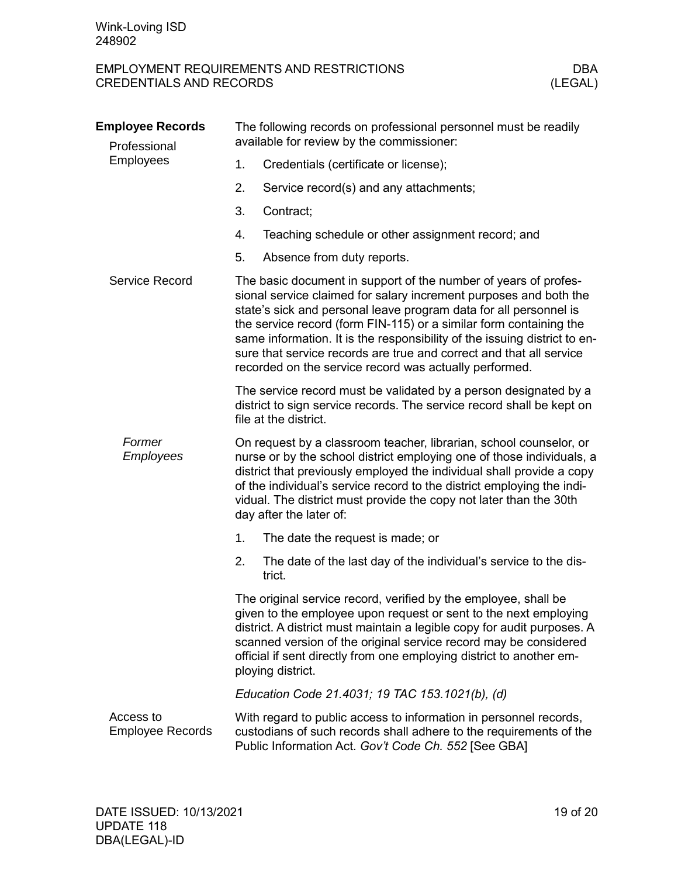<span id="page-18-3"></span><span id="page-18-2"></span><span id="page-18-1"></span><span id="page-18-0"></span>

| <b>Employee Records</b><br>Professional | The following records on professional personnel must be readily<br>available for review by the commissioner:                                                                                                                                                                                                                                                                                                                                                                                  |  |  |  |
|-----------------------------------------|-----------------------------------------------------------------------------------------------------------------------------------------------------------------------------------------------------------------------------------------------------------------------------------------------------------------------------------------------------------------------------------------------------------------------------------------------------------------------------------------------|--|--|--|
| <b>Employees</b>                        | Credentials (certificate or license);<br>1.                                                                                                                                                                                                                                                                                                                                                                                                                                                   |  |  |  |
|                                         | 2.<br>Service record(s) and any attachments;                                                                                                                                                                                                                                                                                                                                                                                                                                                  |  |  |  |
|                                         | 3.<br>Contract;                                                                                                                                                                                                                                                                                                                                                                                                                                                                               |  |  |  |
|                                         | 4.<br>Teaching schedule or other assignment record; and                                                                                                                                                                                                                                                                                                                                                                                                                                       |  |  |  |
|                                         | Absence from duty reports.<br>5.                                                                                                                                                                                                                                                                                                                                                                                                                                                              |  |  |  |
| Service Record                          | The basic document in support of the number of years of profes-<br>sional service claimed for salary increment purposes and both the<br>state's sick and personal leave program data for all personnel is<br>the service record (form FIN-115) or a similar form containing the<br>same information. It is the responsibility of the issuing district to en-<br>sure that service records are true and correct and that all service<br>recorded on the service record was actually performed. |  |  |  |
|                                         | The service record must be validated by a person designated by a<br>district to sign service records. The service record shall be kept on<br>file at the district.                                                                                                                                                                                                                                                                                                                            |  |  |  |
| Former<br><b>Employees</b>              | On request by a classroom teacher, librarian, school counselor, or<br>nurse or by the school district employing one of those individuals, a<br>district that previously employed the individual shall provide a copy<br>of the individual's service record to the district employing the indi-<br>vidual. The district must provide the copy not later than the 30th<br>day after the later of:                                                                                               |  |  |  |
|                                         | 1.<br>The date the request is made; or                                                                                                                                                                                                                                                                                                                                                                                                                                                        |  |  |  |
|                                         | 2.<br>The date of the last day of the individual's service to the dis-<br>trict.                                                                                                                                                                                                                                                                                                                                                                                                              |  |  |  |
|                                         | The original service record, verified by the employee, shall be<br>given to the employee upon request or sent to the next employing<br>district. A district must maintain a legible copy for audit purposes. A<br>scanned version of the original service record may be considered<br>official if sent directly from one employing district to another em-<br>ploying district.                                                                                                               |  |  |  |
|                                         | Education Code 21.4031; 19 TAC 153.1021(b), (d)                                                                                                                                                                                                                                                                                                                                                                                                                                               |  |  |  |
| Access to<br><b>Employee Records</b>    | With regard to public access to information in personnel records,<br>custodians of such records shall adhere to the requirements of the<br>Public Information Act. Gov't Code Ch. 552 [See GBA]                                                                                                                                                                                                                                                                                               |  |  |  |